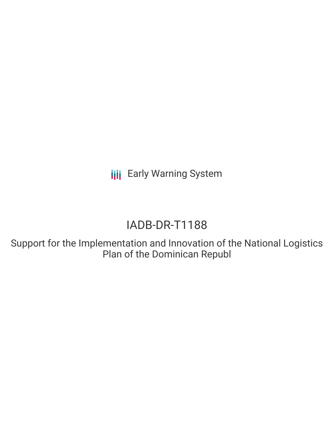**III** Early Warning System

# IADB-DR-T1188

Support for the Implementation and Innovation of the National Logistics Plan of the Dominican Republ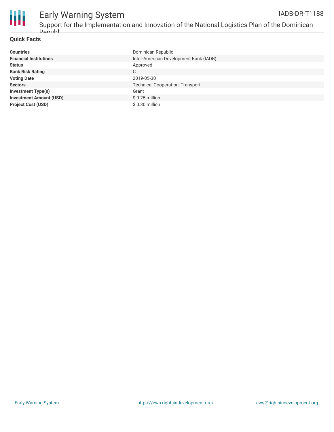

## Early Warning System

Support for the Implementation and Innovation of the National Logistics Plan of the Dominican **Donubl** 

#### **Quick Facts**

| <b>Countries</b>               | Dominican Republic                      |
|--------------------------------|-----------------------------------------|
| <b>Financial Institutions</b>  | Inter-American Development Bank (IADB)  |
| <b>Status</b>                  | Approved                                |
| <b>Bank Risk Rating</b>        | C                                       |
| <b>Voting Date</b>             | 2019-05-30                              |
| <b>Sectors</b>                 | <b>Technical Cooperation, Transport</b> |
| <b>Investment Type(s)</b>      | Grant                                   |
| <b>Investment Amount (USD)</b> | $$0.25$ million                         |
| <b>Project Cost (USD)</b>      | $$0.30$ million                         |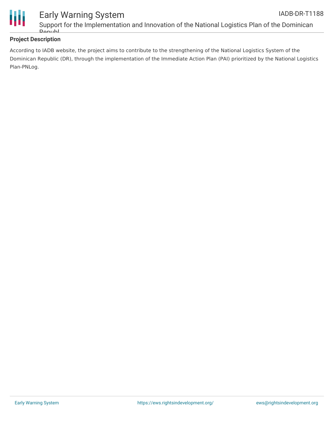

### Support for the Implementation and Innovation of the National Logistics Plan of the Dominican **Donubl**

#### **Project Description**

According to IADB website, the project aims to contribute to the strengthening of the National Logistics System of the Dominican Republic (DR), through the implementation of the Immediate Action Plan (PAI) prioritized by the National Logistics Plan-PNLog.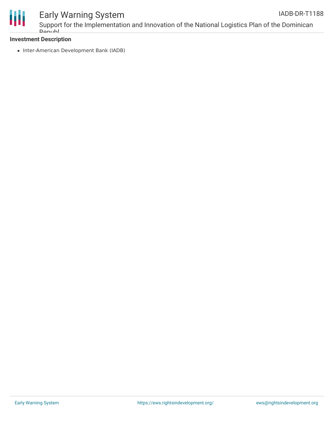

### Early Warning System

Support for the Implementation and Innovation of the National Logistics Plan of the Dominican **Donubl** 

#### **Investment Description**

• Inter-American Development Bank (IADB)